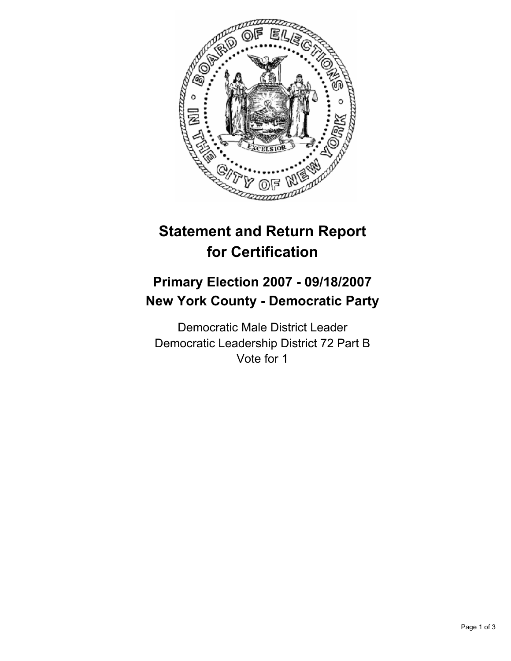

# **Statement and Return Report for Certification**

## **Primary Election 2007 - 09/18/2007 New York County - Democratic Party**

Democratic Male District Leader Democratic Leadership District 72 Part B Vote for 1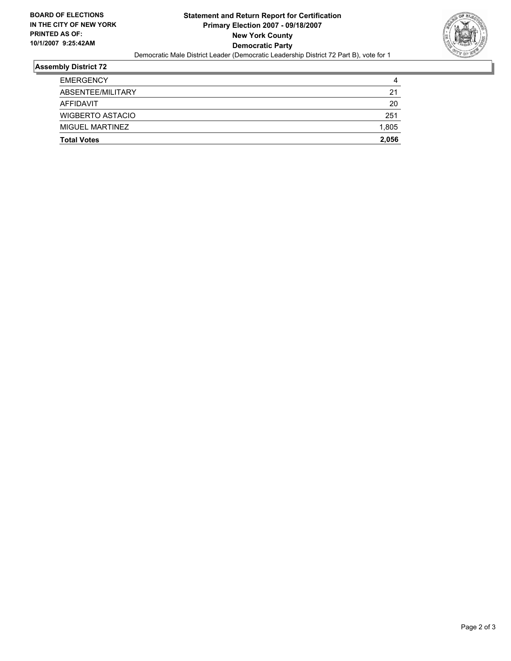

## **Assembly District 72**

| <b>Total Votes</b> | 2,056 |
|--------------------|-------|
| MIGUEL MARTINEZ    | 1,805 |
| WIGBERTO ASTACIO   | 251   |
| AFFIDAVIT          | 20    |
| ABSENTEE/MILITARY  | 21    |
| <b>EMERGENCY</b>   | 4     |